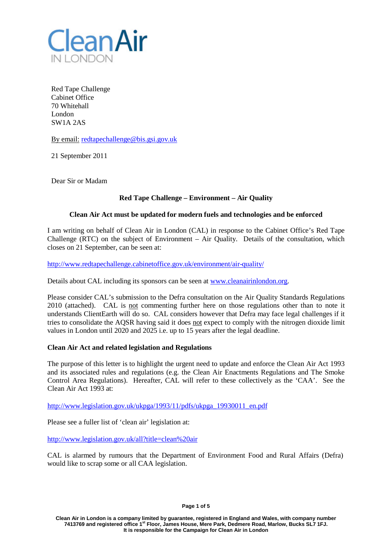

Red Tape Challenge Cabinet Office 70 Whitehall London SW1A 2AS

By email: [redtapechallenge@bis.gsi.gov.uk](mailto:redtapechallenge@bis.gsi.gov.uk)

21 September 2011

Dear Sir or Madam

# **Red Tape Challenge – Environment – Air Quality**

### **Clean Air Act must be updated for modern fuels and technologies and be enforced**

I am writing on behalf of Clean Air in London (CAL) in response to the Cabinet Office's Red Tape Challenge (RTC) on the subject of Environment – Air Quality. Details of the consultation, which closes on 21 September, can be seen at:

<http://www.redtapechallenge.cabinetoffice.gov.uk/environment/air-quality/>

Details about CAL including its sponsors can be seen at [www.cleanairinlondon.org.](http://www.cleanairinlondon.org/)

Please consider CAL's submission to the Defra consultation on the Air Quality Standards Regulations 2010 (attached). CAL is not commenting further here on those regulations other than to note it understands ClientEarth will do so. CAL considers however that Defra may face legal challenges if it tries to consolidate the AQSR having said it does not expect to comply with the nitrogen dioxide limit values in London until 2020 and 2025 i.e. up to 15 years after the legal deadline.

# **Clean Air Act and related legislation and Regulations**

The purpose of this letter is to highlight the urgent need to update and enforce the Clean Air Act 1993 and its associated rules and regulations (e.g. the Clean Air Enactments Regulations and The Smoke Control Area Regulations). Hereafter, CAL will refer to these collectively as the 'CAA'. See the Clean Air Act 1993 at:

[http://www.legislation.gov.uk/ukpga/1993/11/pdfs/ukpga\\_19930011\\_en.pdf](http://www.legislation.gov.uk/ukpga/1993/11/pdfs/ukpga_19930011_en.pdf)

Please see a fuller list of 'clean air' legislation at:

<http://www.legislation.gov.uk/all?title=clean%20air>

CAL is alarmed by rumours that the Department of Environment Food and Rural Affairs (Defra) would like to scrap some or all CAA legislation.

**Page 1 of 5**

**Clean Air in London is a company limited by guarantee, registered in England and Wales, with company number 7413769 and registered office 1st Floor, James House, Mere Park, Dedmere Road, Marlow, Bucks SL7 1FJ. It is responsible for the Campaign for Clean Air in London**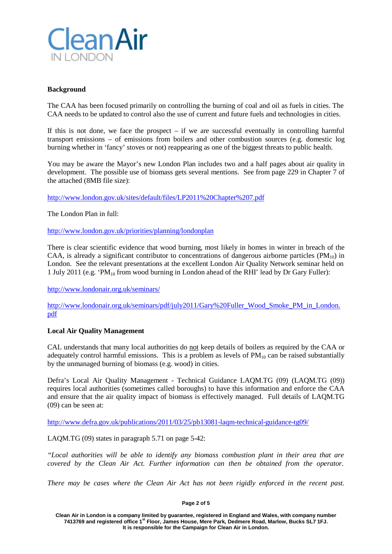

# **Background**

The CAA has been focused primarily on controlling the burning of coal and oil as fuels in cities. The CAA needs to be updated to control also the use of current and future fuels and technologies in cities.

If this is not done, we face the prospect  $-$  if we are successful eventually in controlling harmful transport emissions – of emissions from boilers and other combustion sources (e.g. domestic log burning whether in 'fancy' stoves or not) reappearing as one of the biggest threats to public health.

You may be aware the Mayor's new London Plan includes two and a half pages about air quality in development. The possible use of biomass gets several mentions. See from page 229 in Chapter 7 of the attached (8MB file size):

<http://www.london.gov.uk/sites/default/files/LP2011%20Chapter%207.pdf>

The London Plan in full:

<http://www.london.gov.uk/priorities/planning/londonplan>

There is clear scientific evidence that wood burning, most likely in homes in winter in breach of the CAA, is already a significant contributor to concentrations of dangerous airborne particles ( $PM_{10}$ ) in London. See the relevant presentations at the excellent London Air Quality Network seminar held on 1 July 2011 (e.g. 'PM10 from wood burning in London ahead of the RHI' lead by Dr Gary Fuller):

<http://www.londonair.org.uk/seminars/>

[http://www.londonair.org.uk/seminars/pdf/july2011/Gary%20Fuller\\_Wood\\_Smoke\\_PM\\_in\\_London.](http://www.londonair.org.uk/seminars/pdf/july2011/Gary%20Fuller_Wood_Smoke_PM_in_London.pdf) [pdf](http://www.londonair.org.uk/seminars/pdf/july2011/Gary%20Fuller_Wood_Smoke_PM_in_London.pdf)

# **Local Air Quality Management**

CAL understands that many local authorities do not keep details of boilers as required by the CAA or adequately control harmful emissions. This is a problem as levels of  $PM<sub>10</sub>$  can be raised substantially by the unmanaged burning of biomass (e.g. wood) in cities.

Defra's Local Air Quality Management - Technical Guidance LAQM.TG (09) (LAQM.TG (09)) requires local authorities (sometimes called boroughs) to have this information and enforce the CAA and ensure that the air quality impact of biomass is effectively managed. Full details of LAQM.TG (09) can be seen at:

<http://www.defra.gov.uk/publications/2011/03/25/pb13081-laqm-technical-guidance-tg09/>

LAQM.TG (09) states in paragraph 5.71 on page 5-42:

*"Local authorities will be able to identify any biomass combustion plant in their area that are covered by the Clean Air Act. Further information can then be obtained from the operator.*

*There may be cases where the Clean Air Act has not been rigidly enforced in the recent past.* 

#### **Page 2 of 5**

**Clean Air in London is a company limited by guarantee, registered in England and Wales, with company number 7413769 and registered office 1st Floor, James House, Mere Park, Dedmere Road, Marlow, Bucks SL7 1FJ. It is responsible for the Campaign for Clean Air in London.**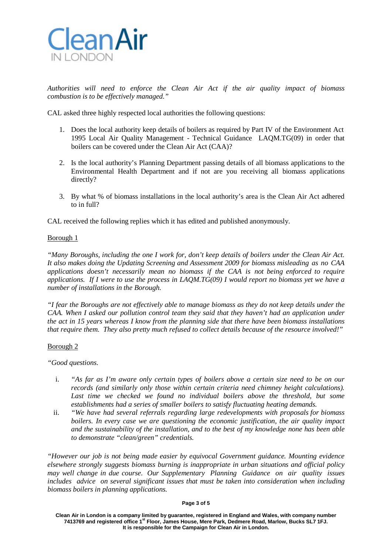

*Authorities will need to enforce the Clean Air Act if the air quality impact of biomass combustion is to be effectively managed."*

CAL asked three highly respected local authorities the following questions:

- 1. Does the local authority keep details of boilers as required by Part IV of the Environment Act 1995 Local Air Quality Management - Technical Guidance LAQM.TG(09) in order that boilers can be covered under the Clean Air Act (CAA)?
- 2. Is the local authority's Planning Department passing details of all biomass applications to the Environmental Health Department and if not are you receiving all biomass applications directly?
- 3. By what % of biomass installations in the local authority's area is the Clean Air Act adhered to in full?

CAL received the following replies which it has edited and published anonymously.

# Borough 1

*"Many Boroughs, including the one I work for, don't keep details of boilers under the Clean Air Act. It also makes doing the Updating Screening and Assessment 2009 for biomass misleading as no CAA applications doesn't necessarily mean no biomass if the CAA is not being enforced to require applications. If I were to use the process in LAQM.TG(09) I would report no biomass yet we have a number of installations in the Borough.*

*"I fear the Boroughs are not effectively able to manage biomass as they do not keep details under the CAA. When I asked our pollution control team they said that they haven't had an application under the act in 15 years whereas I know from the planning side that there have been biomass installations that require them. They also pretty much refused to collect details because of the resource involved!"*

# Borough 2

*"Good questions.*

- i. *"As far as I'm aware only certain types of boilers above a certain size need to be on our records (and similarly only those within certain criteria need chimney height calculations). Last time we checked we found no individual boilers above the threshold, but some establishments had a series of smaller boilers to satisfy fluctuating heating demands.*
- ii. *"We have had several referrals regarding large redevelopments with proposals for biomass boilers. In every case we are questioning the economic justification, the air quality impact and the sustainability of the installation, and to the best of my knowledge none has been able to demonstrate "clean/green" credentials.*

*"However our job is not being made easier by equivocal Government guidance. Mounting evidence elsewhere strongly suggests biomass burning is inappropriate in urban situations and official policy may well change in due course. Our Supplementary Planning Guidance on air quality issues includes advice on several significant issues that must be taken into consideration when including biomass boilers in planning applications.*

#### **Page 3 of 5**

**Clean Air in London is a company limited by guarantee, registered in England and Wales, with company number 7413769 and registered office 1st Floor, James House, Mere Park, Dedmere Road, Marlow, Bucks SL7 1FJ. It is responsible for the Campaign for Clean Air in London.**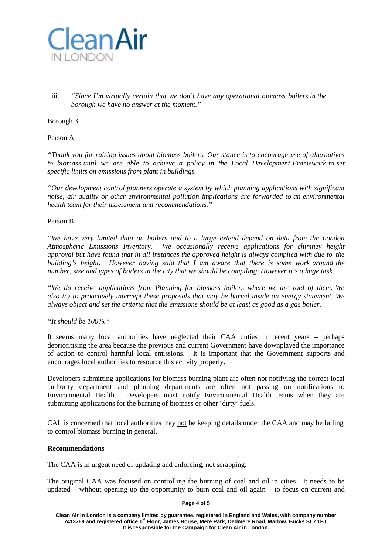

iii. *"Since I'm virtually certain that we don't have any operational biomass boilers in the borough we have no answer at the moment."*

# Borough 3

### Person A

*"Thank you for raising issues about biomass boilers. Our stance is to encourage use of alternatives to biomass until we are able to achieve a policy in the Local Development Framework to set specific limits on emissions from plant in buildings.*

*"Our development control planners operate a system by which planning applications with significant noise, air quality or other environmental pollution implications are forwarded to an environmental health team for their assessment and recommendations."*

### Person B

*"We have very limited data on boilers and to a large extend depend on data from the London Atmospheric Emissions Inventory. We occasionally receive applications for chimney height approval but have found that in all instances the approved height is always complied with due to the building's height. However having said that I am aware that there is some work around the number, size and types of boilers in the city that we should be compiling. However it's a huge task.*

*"We do receive applications from Planning for biomass boilers where we are told of them. We also try to proactively intercept these proposals that may be buried inside an energy statement. We always object and set the criteria that the emissions should be at least as good as a gas boiler.*

# *"It should be 100%."*

It seems many local authorities have neglected their CAA duties in recent years – perhaps deprioritising the area because the previous and current Government have downplayed the importance of action to control harmful local emissions. It is important that the Government supports and encourages local authorities to resource this activity properly.

Developers submitting applications for biomass burning plant are often not notifying the correct local authority department and planning departments are often not passing on notifications to Environmental Health. Developers must notify Environmental Health teams when they are submitting applications for the burning of biomass or other 'dirty' fuels.

CAL is concerned that local authorities may not be keeping details under the CAA and may be failing to control biomass burning in general.

### **Recommendations**

The CAA is in urgent need of updating and enforcing, not scrapping.

The original CAA was focused on controlling the burning of coal and oil in cities. It needs to be updated – without opening up the opportunity to burn coal and oil again – to focus on current and

### **Page 4 of 5**

**Clean Air in London is a company limited by guarantee, registered in England and Wales, with company number 7413769 and registered office 1st Floor, James House, Mere Park, Dedmere Road, Marlow, Bucks SL7 1FJ. It is responsible for the Campaign for Clean Air in London.**